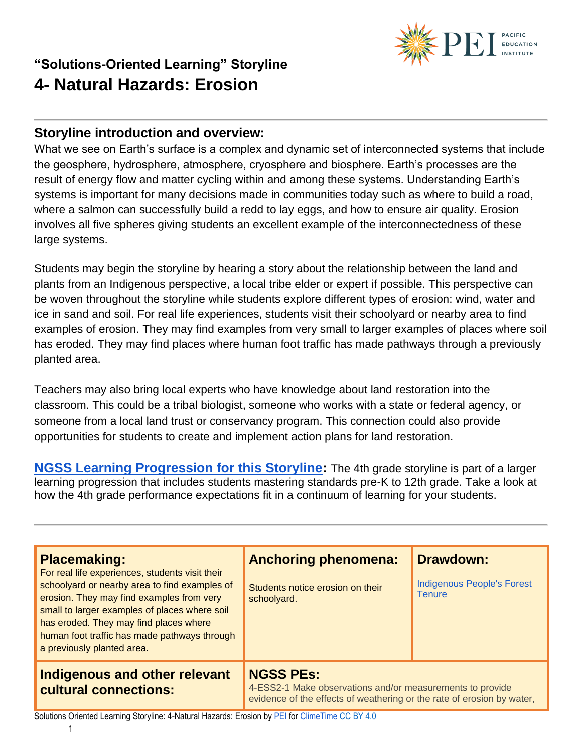

#### **Storyline introduction and overview:**

What we see on Earth's surface is a complex and dynamic set of interconnected systems that include the geosphere, hydrosphere, atmosphere, cryosphere and biosphere. Earth's processes are the result of energy flow and matter cycling within and among these systems. Understanding Earth's systems is important for many decisions made in communities today such as where to build a road, where a salmon can successfully build a redd to lay eggs, and how to ensure air quality. Erosion involves all five spheres giving students an excellent example of the interconnectedness of these large systems.

Students may begin the storyline by hearing a story about the relationship between the land and plants from an Indigenous perspective, a local tribe elder or expert if possible. This perspective can be woven throughout the storyline while students explore different types of erosion: wind, water and ice in sand and soil. For real life experiences, students visit their schoolyard or nearby area to find examples of erosion. They may find examples from very small to larger examples of places where soil has eroded. They may find places where human foot traffic has made pathways through a previously planted area.

Teachers may also bring local experts who have knowledge about land restoration into the classroom. This could be a tribal biologist, someone who works with a state or federal agency, or someone from a local land trust or conservancy program. This connection could also provide opportunities for students to create and implement action plans for land restoration.

**[NGSS Learning Progression for this Storyline:](https://pacificeductioninstitute.sharepoint.com/:x:/s/Program/EXSfWuiQwntNoO4O0WgMmg4BtS3BPeWPqrvxD4uXGGWQKw?e=zjjqCB)** The 4th grade storyline is part of a larger learning progression that includes students mastering standards pre-K to 12th grade. Take a look at how the 4th grade performance expectations fit in a continuum of learning for your students.

| <b>Placemaking:</b><br>For real life experiences, students visit their<br>schoolyard or nearby area to find examples of<br>erosion. They may find examples from very<br>small to larger examples of places where soil<br>has eroded. They may find places where<br>human foot traffic has made pathways through<br>a previously planted area. | <b>Anchoring phenomena:</b><br>Students notice erosion on their<br>schoolyard.                                                                          | <b>Drawdown:</b><br><b>Indigenous People's Forest</b><br><b>Tenure</b> |
|-----------------------------------------------------------------------------------------------------------------------------------------------------------------------------------------------------------------------------------------------------------------------------------------------------------------------------------------------|---------------------------------------------------------------------------------------------------------------------------------------------------------|------------------------------------------------------------------------|
| Indigenous and other relevant<br><b>cultural connections:</b>                                                                                                                                                                                                                                                                                 | <b>NGSS PES:</b><br>4-ESS2-1 Make observations and/or measurements to provide<br>evidence of the effects of weathering or the rate of erosion by water, |                                                                        |

Solutions Oriented Learning Storyline: 4-Natural Hazards: Erosion b[y PEI](https://pacificeducationinstitute.org/) for [ClimeTime](https://www.climetime.org/) [CC BY 4.0](https://creativecommons.org/licenses/by/4.0/)

1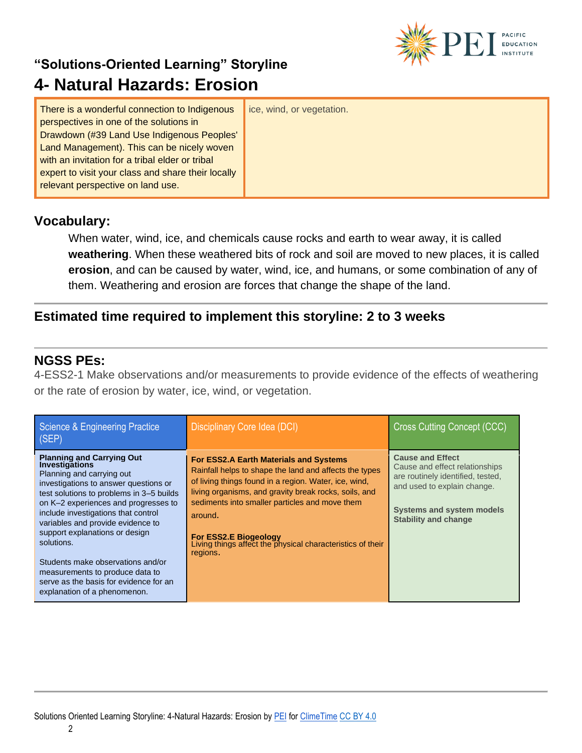

| There is a wonderful connection to Indigenous<br>perspectives in one of the solutions in<br>Drawdown (#39 Land Use Indigenous Peoples' | ice, wind, or vegetation. |
|----------------------------------------------------------------------------------------------------------------------------------------|---------------------------|
| Land Management). This can be nicely woven                                                                                             |                           |
| with an invitation for a tribal elder or tribal                                                                                        |                           |
| expert to visit your class and share their locally                                                                                     |                           |
| relevant perspective on land use.                                                                                                      |                           |
|                                                                                                                                        |                           |

#### **Vocabulary:**

When water, wind, ice, and chemicals cause rocks and earth to wear away, it is called **weathering**. When these weathered bits of rock and soil are moved to new places, it is called **erosion**, and can be caused by water, wind, ice, and humans, or some combination of any of them. Weathering and erosion are forces that change the shape of the land.

#### **Estimated time required to implement this storyline: 2 to 3 weeks**

#### **NGSS PEs:**

[4-ESS2-1](http://www.nextgenscience.org/sites/default/files/evidence_statement/black_white/4-ESS2-1%20Evidence%20Statements%20June%202015%20asterisks.pdf) Make observations and/or measurements to provide evidence of the effects of weathering or the rate of erosion by water, ice, wind, or vegetation.

| Science & Engineering Practice<br>(SEP)                                                                                                                                                                                                                                                                                                                                                                                                                                                           | Disciplinary Core Idea (DCI)                                                                                                                                                                                                                                                                                                                                                       | Cross Cutting Concept (CCC)                                                                                                                                                                      |
|---------------------------------------------------------------------------------------------------------------------------------------------------------------------------------------------------------------------------------------------------------------------------------------------------------------------------------------------------------------------------------------------------------------------------------------------------------------------------------------------------|------------------------------------------------------------------------------------------------------------------------------------------------------------------------------------------------------------------------------------------------------------------------------------------------------------------------------------------------------------------------------------|--------------------------------------------------------------------------------------------------------------------------------------------------------------------------------------------------|
| <b>Planning and Carrying Out</b><br><b>Investigations</b><br>Planning and carrying out<br>investigations to answer questions or<br>test solutions to problems in 3-5 builds<br>on K-2 experiences and progresses to<br>include investigations that control<br>variables and provide evidence to<br>support explanations or design<br>solutions.<br>Students make observations and/or<br>measurements to produce data to<br>serve as the basis for evidence for an<br>explanation of a phenomenon. | For ESS2.A Earth Materials and Systems<br>Rainfall helps to shape the land and affects the types<br>of living things found in a region. Water, ice, wind,<br>living organisms, and gravity break rocks, soils, and<br>sediments into smaller particles and move them<br>around.<br>For ESS2.E Biogeology<br>Living things affect the physical characteristics of their<br>regions. | <b>Cause and Effect</b><br>Cause and effect relationships<br>are routinely identified, tested,<br>and used to explain change.<br><b>Systems and system models</b><br><b>Stability and change</b> |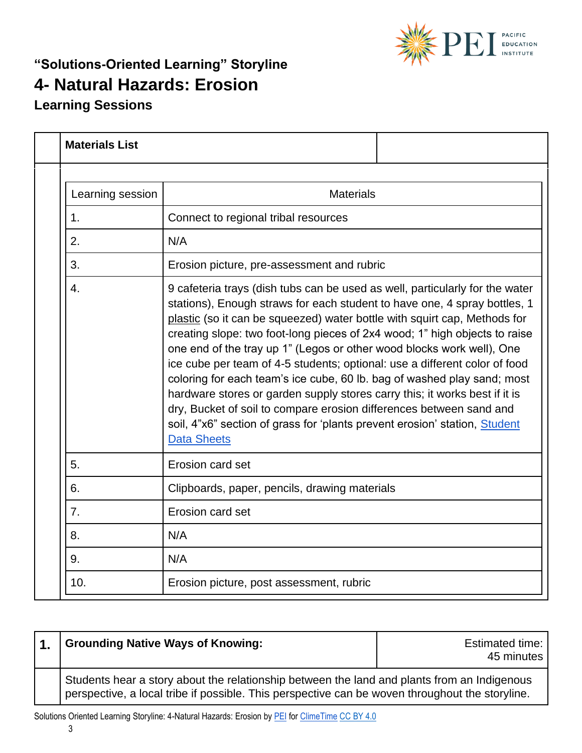

#### **Learning Sessions**

| <b>Materials List</b>                                                                                                                                                                                                                                                                                                                                                                                                                                                                                                                                                                                                                                                                                                                                                                                                 |                                               |
|-----------------------------------------------------------------------------------------------------------------------------------------------------------------------------------------------------------------------------------------------------------------------------------------------------------------------------------------------------------------------------------------------------------------------------------------------------------------------------------------------------------------------------------------------------------------------------------------------------------------------------------------------------------------------------------------------------------------------------------------------------------------------------------------------------------------------|-----------------------------------------------|
|                                                                                                                                                                                                                                                                                                                                                                                                                                                                                                                                                                                                                                                                                                                                                                                                                       |                                               |
| Learning session                                                                                                                                                                                                                                                                                                                                                                                                                                                                                                                                                                                                                                                                                                                                                                                                      | <b>Materials</b>                              |
| 1.                                                                                                                                                                                                                                                                                                                                                                                                                                                                                                                                                                                                                                                                                                                                                                                                                    | Connect to regional tribal resources          |
| 2.                                                                                                                                                                                                                                                                                                                                                                                                                                                                                                                                                                                                                                                                                                                                                                                                                    | N/A                                           |
| 3.                                                                                                                                                                                                                                                                                                                                                                                                                                                                                                                                                                                                                                                                                                                                                                                                                    | Erosion picture, pre-assessment and rubric    |
| 4.<br>9 cafeteria trays (dish tubs can be used as well, particularly for the water<br>stations), Enough straws for each student to have one, 4 spray bottles, 1<br>plastic (so it can be squeezed) water bottle with squirt cap, Methods for<br>creating slope: two foot-long pieces of 2x4 wood; 1" high objects to raise<br>one end of the tray up 1" (Legos or other wood blocks work well), One<br>ice cube per team of 4-5 students; optional: use a different color of food<br>coloring for each team's ice cube, 60 lb. bag of washed play sand; most<br>hardware stores or garden supply stores carry this; it works best if it is<br>dry, Bucket of soil to compare erosion differences between sand and<br>soil, 4"x6" section of grass for 'plants prevent erosion' station, Student<br><b>Data Sheets</b> |                                               |
| 5.                                                                                                                                                                                                                                                                                                                                                                                                                                                                                                                                                                                                                                                                                                                                                                                                                    | Erosion card set                              |
| 6.                                                                                                                                                                                                                                                                                                                                                                                                                                                                                                                                                                                                                                                                                                                                                                                                                    | Clipboards, paper, pencils, drawing materials |
| 7.                                                                                                                                                                                                                                                                                                                                                                                                                                                                                                                                                                                                                                                                                                                                                                                                                    | Erosion card set                              |
| 8.                                                                                                                                                                                                                                                                                                                                                                                                                                                                                                                                                                                                                                                                                                                                                                                                                    | N/A                                           |
| 9.                                                                                                                                                                                                                                                                                                                                                                                                                                                                                                                                                                                                                                                                                                                                                                                                                    | N/A                                           |
| 10.                                                                                                                                                                                                                                                                                                                                                                                                                                                                                                                                                                                                                                                                                                                                                                                                                   | Erosion picture, post assessment, rubric      |

| <b>Grounding Native Ways of Knowing:</b>                                                                                                                                                       | <b>Estimated time:</b><br>45 minutes |
|------------------------------------------------------------------------------------------------------------------------------------------------------------------------------------------------|--------------------------------------|
| Students hear a story about the relationship between the land and plants from an Indigenous<br>perspective, a local tribe if possible. This perspective can be woven throughout the storyline. |                                      |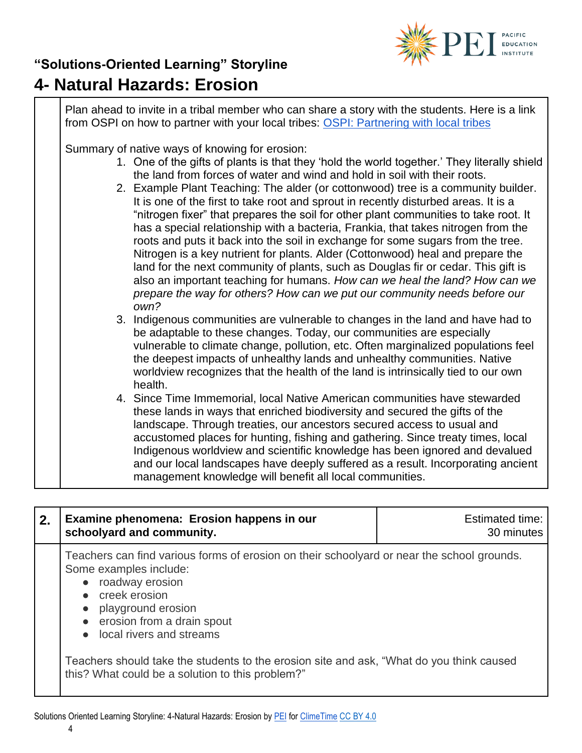

| Plan ahead to invite in a tribal member who can share a story with the students. Here is a link<br>from OSPI on how to partner with your local tribes: OSPI: Partnering with local tribes                                                                                                                                                                                                                                                                                                                                                                                                                                                                                                                                                                                                                                                                                                                                                                                                                         |  |
|-------------------------------------------------------------------------------------------------------------------------------------------------------------------------------------------------------------------------------------------------------------------------------------------------------------------------------------------------------------------------------------------------------------------------------------------------------------------------------------------------------------------------------------------------------------------------------------------------------------------------------------------------------------------------------------------------------------------------------------------------------------------------------------------------------------------------------------------------------------------------------------------------------------------------------------------------------------------------------------------------------------------|--|
| Summary of native ways of knowing for erosion:<br>1. One of the gifts of plants is that they 'hold the world together.' They literally shield<br>the land from forces of water and wind and hold in soil with their roots.<br>2. Example Plant Teaching: The alder (or cottonwood) tree is a community builder.<br>It is one of the first to take root and sprout in recently disturbed areas. It is a<br>"nitrogen fixer" that prepares the soil for other plant communities to take root. It<br>has a special relationship with a bacteria, Frankia, that takes nitrogen from the<br>roots and puts it back into the soil in exchange for some sugars from the tree.<br>Nitrogen is a key nutrient for plants. Alder (Cottonwood) heal and prepare the<br>land for the next community of plants, such as Douglas fir or cedar. This gift is<br>also an important teaching for humans. How can we heal the land? How can we<br>prepare the way for others? How can we put our community needs before our<br>own? |  |
| 3. Indigenous communities are vulnerable to changes in the land and have had to<br>be adaptable to these changes. Today, our communities are especially<br>vulnerable to climate change, pollution, etc. Often marginalized populations feel<br>the deepest impacts of unhealthy lands and unhealthy communities. Native<br>worldview recognizes that the health of the land is intrinsically tied to our own<br>health.                                                                                                                                                                                                                                                                                                                                                                                                                                                                                                                                                                                          |  |
| 4. Since Time Immemorial, local Native American communities have stewarded<br>these lands in ways that enriched biodiversity and secured the gifts of the<br>landscape. Through treaties, our ancestors secured access to usual and<br>accustomed places for hunting, fishing and gathering. Since treaty times, local<br>Indigenous worldview and scientific knowledge has been ignored and devalued<br>and our local landscapes have deeply suffered as a result. Incorporating ancient<br>management knowledge will benefit all local communities.                                                                                                                                                                                                                                                                                                                                                                                                                                                             |  |

| 2. | Examine phenomena: Erosion happens in our<br>schoolyard and community.                                                                                                                                                                                                                                                                                                                                                            | <b>Estimated time:</b><br>30 minutes |
|----|-----------------------------------------------------------------------------------------------------------------------------------------------------------------------------------------------------------------------------------------------------------------------------------------------------------------------------------------------------------------------------------------------------------------------------------|--------------------------------------|
|    | Teachers can find various forms of erosion on their schoolyard or near the school grounds.<br>Some examples include:<br>• roadway erosion<br>creek erosion<br>playground erosion<br>$\bullet$<br>erosion from a drain spout<br>$\bullet$<br>local rivers and streams<br>$\bullet$<br>Teachers should take the students to the erosion site and ask, "What do you think caused<br>this? What could be a solution to this problem?" |                                      |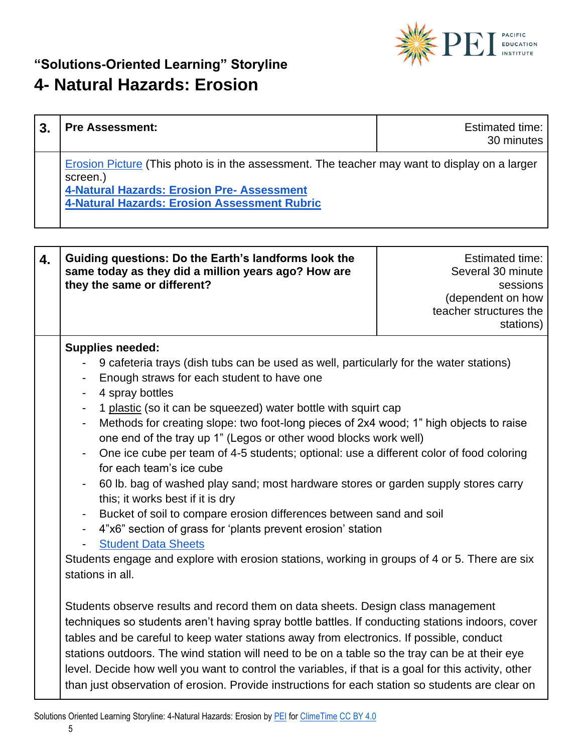

| 3. | <b>Pre Assessment:</b> | Estimated time:<br>30 minutes |
|----|------------------------|-------------------------------|
|    |                        |                               |

[Erosion Picture](https://pacificeductioninstitute.sharepoint.com/:b:/s/Program/EUEE1wQeyMxOhNdh24SNNgoBZZVxRMW9i8TCLxPGZW-9kQ?e=dhW07P) (This photo is in the assessment. The teacher may want to display on a larger screen.) **[4-Natural Hazards: Erosion Pre-](https://pacificeductioninstitute.sharepoint.com/:b:/s/Program/EftGh2S6SI1JncH1F1nUO8IB2s2GvO4VI0Om6OCvFRrobA?e=pWlSTe) Assessment**

**4-Natural Hazards: [Erosion Assessment Rubric](https://pacificeductioninstitute.sharepoint.com/:w:/s/Program/ESLgCoMujMVAqlqH9p9rg1sBpSaxOCZ-WkMksAfPRDvI0w?e=7wbfUl)**

| 4. | Guiding questions: Do the Earth's landforms look the<br>same today as they did a million years ago? How are<br>they the same or different? | <b>Estimated time:</b><br>Several 30 minute<br>sessions<br>(dependent on how<br>teacher structures the<br>stations) |
|----|--------------------------------------------------------------------------------------------------------------------------------------------|---------------------------------------------------------------------------------------------------------------------|
|    | <b>Supplies needed:</b>                                                                                                                    |                                                                                                                     |
|    | 9 cafeteria trays (dish tubs can be used as well, particularly for the water stations)<br>$\blacksquare$                                   |                                                                                                                     |
|    | Enough straws for each student to have one<br>$\qquad \qquad \blacksquare$                                                                 |                                                                                                                     |
|    | 4 spray bottles<br>-                                                                                                                       |                                                                                                                     |
|    | 1 plastic (so it can be squeezed) water bottle with squirt cap<br>$\overline{\phantom{0}}$                                                 |                                                                                                                     |
|    | Methods for creating slope: two foot-long pieces of 2x4 wood; 1" high objects to raise<br>$\overline{\phantom{0}}$                         |                                                                                                                     |
|    | one end of the tray up 1" (Legos or other wood blocks work well)                                                                           |                                                                                                                     |
|    | One ice cube per team of 4-5 students; optional: use a different color of food coloring<br>$\overline{\phantom{0}}$                        |                                                                                                                     |
|    | for each team's ice cube                                                                                                                   |                                                                                                                     |
|    | 60 lb. bag of washed play sand; most hardware stores or garden supply stores carry<br>$\blacksquare$                                       |                                                                                                                     |
|    | this; it works best if it is dry                                                                                                           |                                                                                                                     |

- Bucket of soil to compare erosion differences between sand and soil
- 4"x6" section of grass for 'plants prevent erosion' station
- **[Student Data Sheets](https://pacificeductioninstitute.sharepoint.com/:w:/s/Program/Eb0ks0HJJvRMg0iqCR3mW0sB0RbWtVE-6ZmBKpx-USSaBw?e=c3egnt)**

Students engage and explore with erosion stations, working in groups of 4 or 5. There are six stations in all.

Students observe results and record them on data sheets. Design class management techniques so students aren't having spray bottle battles. If conducting stations indoors, cover tables and be careful to keep water stations away from electronics. If possible, conduct stations outdoors. The wind station will need to be on a table so the tray can be at their eye level. Decide how well you want to control the variables, if that is a goal for this activity, other than just observation of erosion. Provide instructions for each station so students are clear on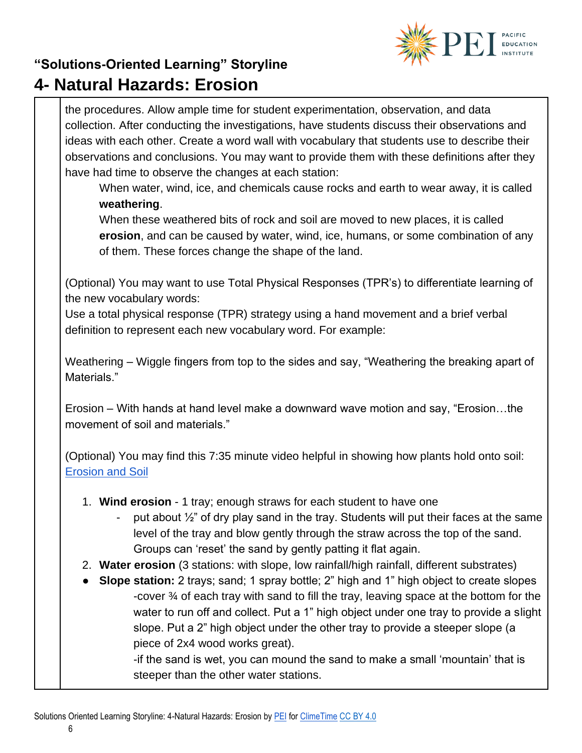

the procedures. Allow ample time for student experimentation, observation, and data collection. After conducting the investigations, have students discuss their observations and ideas with each other. Create a word wall with vocabulary that students use to describe their observations and conclusions. You may want to provide them with these definitions after they have had time to observe the changes at each station:

When water, wind, ice, and chemicals cause rocks and earth to wear away, it is called **weathering**.

When these weathered bits of rock and soil are moved to new places, it is called **erosion**, and can be caused by water, wind, ice, humans, or some combination of any of them. These forces change the shape of the land.

(Optional) You may want to use Total Physical Responses (TPR's) to differentiate learning of the new vocabulary words:

Use a total physical response (TPR) strategy using a hand movement and a brief verbal definition to represent each new vocabulary word. For example:

Weathering – Wiggle fingers from top to the sides and say, "Weathering the breaking apart of Materials."

Erosion – With hands at hand level make a downward wave motion and say, "Erosion…the movement of soil and materials."

(Optional) You may find this 7:35 minute video helpful in showing how plants hold onto soil: [Erosion and Soil](https://www.youtube.com/watch?v=im4HVXMGI68&=&t=13s)

- 1. **Wind erosion** 1 tray; enough straws for each student to have one
	- put about  $\frac{1}{2}$ " of dry play sand in the tray. Students will put their faces at the same level of the tray and blow gently through the straw across the top of the sand. Groups can 'reset' the sand by gently patting it flat again.
- 2. **Water erosion** (3 stations: with slope, low rainfall/high rainfall, different substrates)
- **Slope station:** 2 trays; sand; 1 spray bottle; 2" high and 1" high object to create slopes -cover ¾ of each tray with sand to fill the tray, leaving space at the bottom for the water to run off and collect. Put a 1" high object under one tray to provide a slight slope. Put a 2" high object under the other tray to provide a steeper slope (a piece of 2x4 wood works great).

-if the sand is wet, you can mound the sand to make a small 'mountain' that is steeper than the other water stations.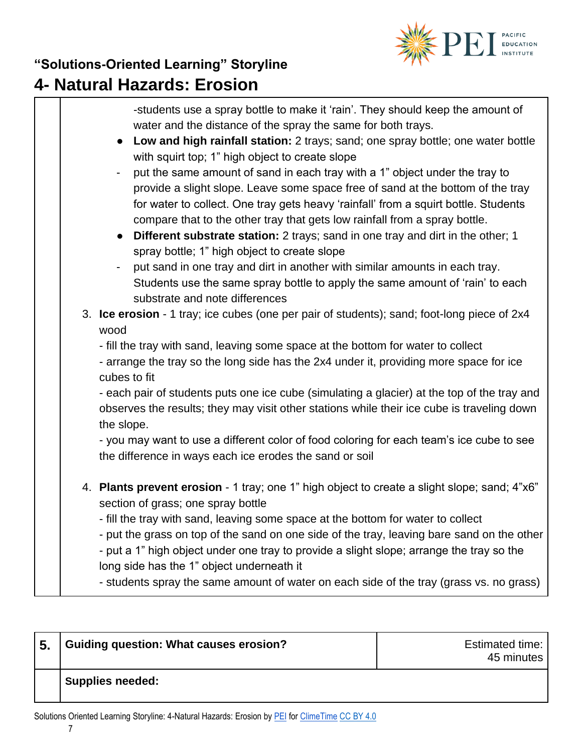

|  | -students use a spray bottle to make it 'rain'. They should keep the amount of<br>water and the distance of the spray the same for both trays.<br>Low and high rainfall station: 2 trays; sand; one spray bottle; one water bottle<br>$\bullet$<br>with squirt top; 1" high object to create slope<br>put the same amount of sand in each tray with a 1" object under the tray to<br>$\overline{\phantom{0}}$<br>provide a slight slope. Leave some space free of sand at the bottom of the tray<br>for water to collect. One tray gets heavy 'rainfall' from a squirt bottle. Students<br>compare that to the other tray that gets low rainfall from a spray bottle.<br>Different substrate station: 2 trays; sand in one tray and dirt in the other; 1<br>$\bullet$<br>spray bottle; 1" high object to create slope<br>put sand in one tray and dirt in another with similar amounts in each tray.<br>Students use the same spray bottle to apply the same amount of 'rain' to each<br>substrate and note differences<br>3. Ice erosion - 1 tray; ice cubes (one per pair of students); sand; foot-long piece of 2x4<br>wood<br>- fill the tray with sand, leaving some space at the bottom for water to collect |
|--|--------------------------------------------------------------------------------------------------------------------------------------------------------------------------------------------------------------------------------------------------------------------------------------------------------------------------------------------------------------------------------------------------------------------------------------------------------------------------------------------------------------------------------------------------------------------------------------------------------------------------------------------------------------------------------------------------------------------------------------------------------------------------------------------------------------------------------------------------------------------------------------------------------------------------------------------------------------------------------------------------------------------------------------------------------------------------------------------------------------------------------------------------------------------------------------------------------------------|
|  | - arrange the tray so the long side has the 2x4 under it, providing more space for ice<br>cubes to fit<br>- each pair of students puts one ice cube (simulating a glacier) at the top of the tray and<br>observes the results; they may visit other stations while their ice cube is traveling down<br>the slope.<br>- you may want to use a different color of food coloring for each team's ice cube to see                                                                                                                                                                                                                                                                                                                                                                                                                                                                                                                                                                                                                                                                                                                                                                                                      |
|  | the difference in ways each ice erodes the sand or soil                                                                                                                                                                                                                                                                                                                                                                                                                                                                                                                                                                                                                                                                                                                                                                                                                                                                                                                                                                                                                                                                                                                                                            |
|  | 4. Plants prevent erosion - 1 tray; one 1" high object to create a slight slope; sand; 4"x6"<br>section of grass; one spray bottle<br>- fill the tray with sand, leaving some space at the bottom for water to collect<br>- put the grass on top of the sand on one side of the tray, leaving bare sand on the other<br>- put a 1" high object under one tray to provide a slight slope; arrange the tray so the<br>long side has the 1" object underneath it<br>- students spray the same amount of water on each side of the tray (grass vs. no grass)                                                                                                                                                                                                                                                                                                                                                                                                                                                                                                                                                                                                                                                           |

| 5. | <b>Guiding question: What causes erosion?</b> | <b>Estimated time:</b><br>45 minutes |
|----|-----------------------------------------------|--------------------------------------|
|    | 'Supplies needed:                             |                                      |

7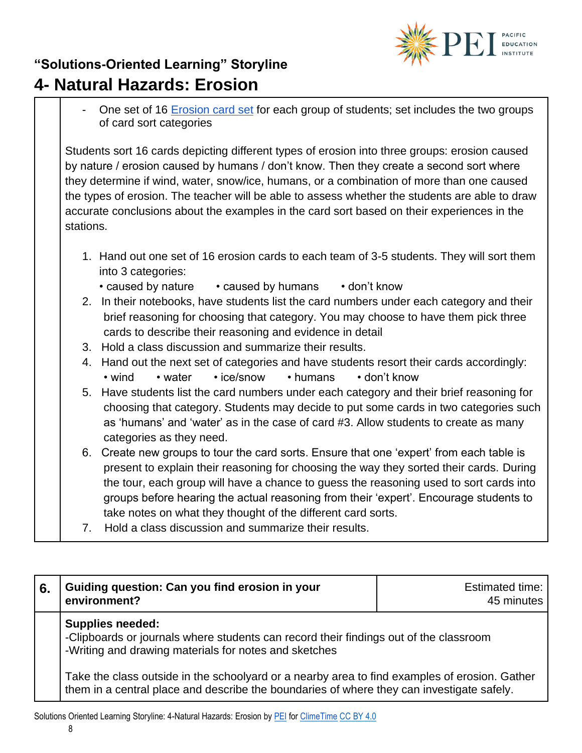

One set of 16 [Erosion card set](https://pacificeductioninstitute.sharepoint.com/:b:/s/Program/EUwOWCoFW2NIrwyBclCiH3YB7Kbl5sbmu3JZ5Zj6kt7wsw?e=wEmuGX) for each group of students; set includes the two groups of card sort categories

Students sort 16 cards depicting different types of erosion into three groups: erosion caused by nature / erosion caused by humans / don't know. Then they create a second sort where they determine if wind, water, snow/ice, humans, or a combination of more than one caused the types of erosion. The teacher will be able to assess whether the students are able to draw accurate conclusions about the examples in the card sort based on their experiences in the stations.

- 1. Hand out one set of 16 erosion cards to each team of 3-5 students. They will sort them into 3 categories:
	- caused by nature caused by humans don't know
- 2. In their notebooks, have students list the card numbers under each category and their brief reasoning for choosing that category. You may choose to have them pick three cards to describe their reasoning and evidence in detail
- 3. Hold a class discussion and summarize their results.
- 4. Hand out the next set of categories and have students resort their cards accordingly: • wind • water • ice/snow • humans • don't know
- 5. Have students list the card numbers under each category and their brief reasoning for choosing that category. Students may decide to put some cards in two categories such as 'humans' and 'water' as in the case of card #3. Allow students to create as many categories as they need.
- 6. Create new groups to tour the card sorts. Ensure that one 'expert' from each table is present to explain their reasoning for choosing the way they sorted their cards. During the tour, each group will have a chance to guess the reasoning used to sort cards into groups before hearing the actual reasoning from their 'expert'. Encourage students to take notes on what they thought of the different card sorts.
- 7. Hold a class discussion and summarize their results.

| 6. | Guiding question: Can you find erosion in your<br>environment?                                                                                                            | Estimated time:<br>45 minutes |
|----|---------------------------------------------------------------------------------------------------------------------------------------------------------------------------|-------------------------------|
|    | <b>Supplies needed:</b><br>-Clipboards or journals where students can record their findings out of the classroom<br>-Writing and drawing materials for notes and sketches |                               |

Take the class outside in the schoolyard or a nearby area to find examples of erosion. Gather them in a central place and describe the boundaries of where they can investigate safely.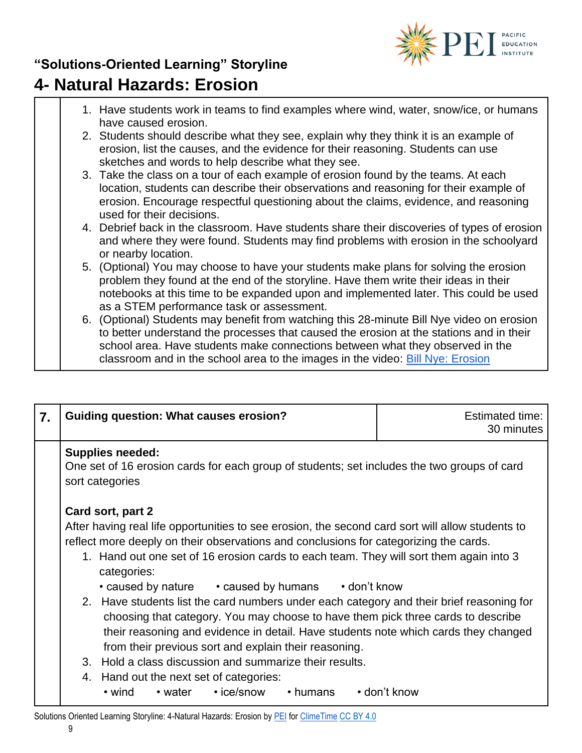

# **"Solutions-Oriented Learning" Storyline**

## **4- Natural Hazards: Erosion**

- 1. Have students work in teams to find examples where wind, water, snow/ice, or humans have caused erosion.
- 2. Students should describe what they see, explain why they think it is an example of erosion, list the causes, and the evidence for their reasoning. Students can use sketches and words to help describe what they see.
- 3. Take the class on a tour of each example of erosion found by the teams. At each location, students can describe their observations and reasoning for their example of erosion. Encourage respectful questioning about the claims, evidence, and reasoning used for their decisions.
- 4. Debrief back in the classroom. Have students share their discoveries of types of erosion and where they were found. Students may find problems with erosion in the schoolyard or nearby location.
- 5. (Optional) You may choose to have your students make plans for solving the erosion problem they found at the end of the storyline. Have them write their ideas in their notebooks at this time to be expanded upon and implemented later. This could be used as a STEM performance task or assessment.
- 6. (Optional) Students may benefit from watching this 28-minute Bill Nye video on erosion to better understand the processes that caused the erosion at the stations and in their school area. Have students make connections between what they observed in the classroom and in the school area to the images in the video: [Bill Nye: Erosion](https://www.youtube.com/watch?v=HkralMlDmSA)

| 7. | <b>Guiding question: What causes erosion?</b>                                                                                                                                                                                                                                                                                                                                                                                                                                                                                                                                                                                                                                                                                                                                                                                                                                | Estimated time:<br>30 minutes |  |
|----|------------------------------------------------------------------------------------------------------------------------------------------------------------------------------------------------------------------------------------------------------------------------------------------------------------------------------------------------------------------------------------------------------------------------------------------------------------------------------------------------------------------------------------------------------------------------------------------------------------------------------------------------------------------------------------------------------------------------------------------------------------------------------------------------------------------------------------------------------------------------------|-------------------------------|--|
|    | <b>Supplies needed:</b><br>One set of 16 erosion cards for each group of students; set includes the two groups of card<br>sort categories                                                                                                                                                                                                                                                                                                                                                                                                                                                                                                                                                                                                                                                                                                                                    |                               |  |
|    | Card sort, part 2<br>After having real life opportunities to see erosion, the second card sort will allow students to<br>reflect more deeply on their observations and conclusions for categorizing the cards.<br>1. Hand out one set of 16 erosion cards to each team. They will sort them again into 3<br>categories:<br>• caused by nature • caused by humans • don't know<br>2. Have students list the card numbers under each category and their brief reasoning for<br>choosing that category. You may choose to have them pick three cards to describe<br>their reasoning and evidence in detail. Have students note which cards they changed<br>from their previous sort and explain their reasoning.<br>3. Hold a class discussion and summarize their results.<br>4. Hand out the next set of categories:<br>• water • ice/snow • humans<br>• don't know<br>• wind |                               |  |

9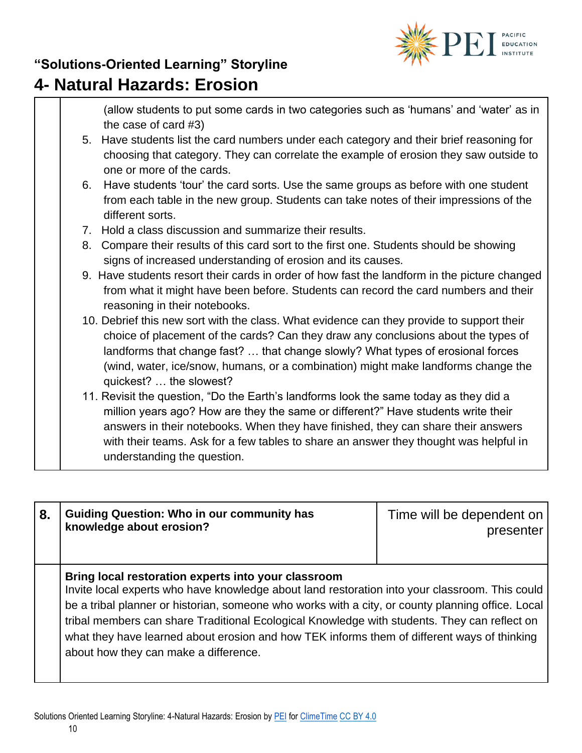

## **"Solutions-Oriented Learning" Storyline**

## **4- Natural Hazards: Erosion**

(allow students to put some cards in two categories such as 'humans' and 'water' as in the case of card #3)

- 5. Have students list the card numbers under each category and their brief reasoning for choosing that category. They can correlate the example of erosion they saw outside to one or more of the cards.
- 6. Have students 'tour' the card sorts. Use the same groups as before with one student from each table in the new group. Students can take notes of their impressions of the different sorts.
- 7. Hold a class discussion and summarize their results.
- 8. Compare their results of this card sort to the first one. Students should be showing signs of increased understanding of erosion and its causes.
- 9. Have students resort their cards in order of how fast the landform in the picture changed from what it might have been before. Students can record the card numbers and their reasoning in their notebooks.
- 10. Debrief this new sort with the class. What evidence can they provide to support their choice of placement of the cards? Can they draw any conclusions about the types of landforms that change fast? … that change slowly? What types of erosional forces (wind, water, ice/snow, humans, or a combination) might make landforms change the quickest? … the slowest?
- 11. Revisit the question, "Do the Earth's landforms look the same today as they did a million years ago? How are they the same or different?" Have students write their answers in their notebooks. When they have finished, they can share their answers with their teams. Ask for a few tables to share an answer they thought was helpful in understanding the question.

| 8. | <b>Guiding Question: Who in our community has</b><br>knowledge about erosion?                                                                                                                                                                                                                                                                                                                                                                                                                      | Time will be dependent on<br>presenter |
|----|----------------------------------------------------------------------------------------------------------------------------------------------------------------------------------------------------------------------------------------------------------------------------------------------------------------------------------------------------------------------------------------------------------------------------------------------------------------------------------------------------|----------------------------------------|
|    | Bring local restoration experts into your classroom<br>Invite local experts who have knowledge about land restoration into your classroom. This could<br>be a tribal planner or historian, someone who works with a city, or county planning office. Local<br>tribal members can share Traditional Ecological Knowledge with students. They can reflect on<br>what they have learned about erosion and how TEK informs them of different ways of thinking<br>about how they can make a difference. |                                        |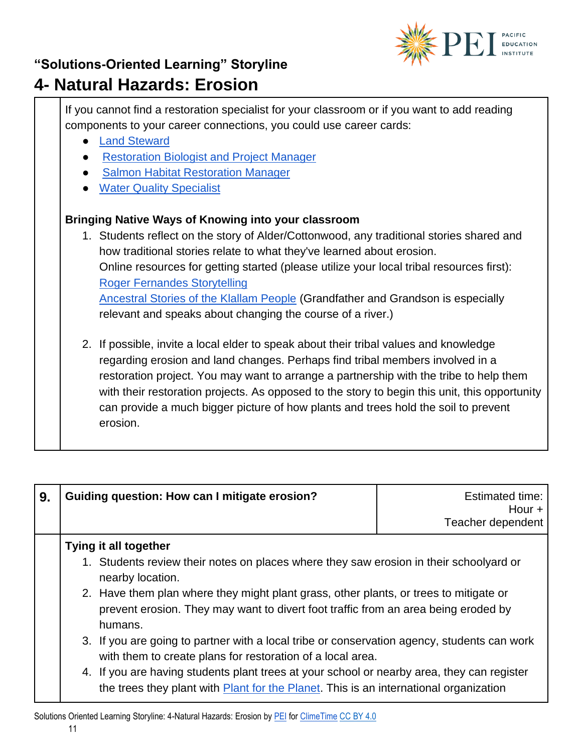

| components to your career connections, you could use career cards:<br>• Land Steward<br><b>Restoration Biologist and Project Manager</b><br><b>Salmon Habitat Restoration Manager</b><br><b>Water Quality Specialist</b><br>$\bullet$<br><b>Bringing Native Ways of Knowing into your classroom</b><br>1. Students reflect on the story of Alder/Cottonwood, any traditional stories shared and<br>how traditional stories relate to what they've learned about erosion.<br>Online resources for getting started (please utilize your local tribal resources first):<br><b>Roger Fernandes Storytelling</b><br>Ancestral Stories of the Klallam People (Grandfather and Grandson is especially<br>relevant and speaks about changing the course of a river.)<br>2. If possible, invite a local elder to speak about their tribal values and knowledge |
|-------------------------------------------------------------------------------------------------------------------------------------------------------------------------------------------------------------------------------------------------------------------------------------------------------------------------------------------------------------------------------------------------------------------------------------------------------------------------------------------------------------------------------------------------------------------------------------------------------------------------------------------------------------------------------------------------------------------------------------------------------------------------------------------------------------------------------------------------------|
|                                                                                                                                                                                                                                                                                                                                                                                                                                                                                                                                                                                                                                                                                                                                                                                                                                                       |
|                                                                                                                                                                                                                                                                                                                                                                                                                                                                                                                                                                                                                                                                                                                                                                                                                                                       |
|                                                                                                                                                                                                                                                                                                                                                                                                                                                                                                                                                                                                                                                                                                                                                                                                                                                       |
|                                                                                                                                                                                                                                                                                                                                                                                                                                                                                                                                                                                                                                                                                                                                                                                                                                                       |
|                                                                                                                                                                                                                                                                                                                                                                                                                                                                                                                                                                                                                                                                                                                                                                                                                                                       |
|                                                                                                                                                                                                                                                                                                                                                                                                                                                                                                                                                                                                                                                                                                                                                                                                                                                       |
|                                                                                                                                                                                                                                                                                                                                                                                                                                                                                                                                                                                                                                                                                                                                                                                                                                                       |
|                                                                                                                                                                                                                                                                                                                                                                                                                                                                                                                                                                                                                                                                                                                                                                                                                                                       |
|                                                                                                                                                                                                                                                                                                                                                                                                                                                                                                                                                                                                                                                                                                                                                                                                                                                       |
|                                                                                                                                                                                                                                                                                                                                                                                                                                                                                                                                                                                                                                                                                                                                                                                                                                                       |
|                                                                                                                                                                                                                                                                                                                                                                                                                                                                                                                                                                                                                                                                                                                                                                                                                                                       |
|                                                                                                                                                                                                                                                                                                                                                                                                                                                                                                                                                                                                                                                                                                                                                                                                                                                       |
|                                                                                                                                                                                                                                                                                                                                                                                                                                                                                                                                                                                                                                                                                                                                                                                                                                                       |
| regarding erosion and land changes. Perhaps find tribal members involved in a                                                                                                                                                                                                                                                                                                                                                                                                                                                                                                                                                                                                                                                                                                                                                                         |
| restoration project. You may want to arrange a partnership with the tribe to help them                                                                                                                                                                                                                                                                                                                                                                                                                                                                                                                                                                                                                                                                                                                                                                |
| with their restoration projects. As opposed to the story to begin this unit, this opportunity                                                                                                                                                                                                                                                                                                                                                                                                                                                                                                                                                                                                                                                                                                                                                         |
| can provide a much bigger picture of how plants and trees hold the soil to prevent                                                                                                                                                                                                                                                                                                                                                                                                                                                                                                                                                                                                                                                                                                                                                                    |
| erosion.                                                                                                                                                                                                                                                                                                                                                                                                                                                                                                                                                                                                                                                                                                                                                                                                                                              |
|                                                                                                                                                                                                                                                                                                                                                                                                                                                                                                                                                                                                                                                                                                                                                                                                                                                       |

| 9. | Guiding question: How can I mitigate erosion?                                                                                                                                               | <b>Estimated time:</b><br>Hour $+$<br>Teacher dependent |  |
|----|---------------------------------------------------------------------------------------------------------------------------------------------------------------------------------------------|---------------------------------------------------------|--|
|    | <b>Tying it all together</b>                                                                                                                                                                |                                                         |  |
|    | 1. Students review their notes on places where they saw erosion in their schoolyard or<br>nearby location.                                                                                  |                                                         |  |
|    | 2. Have them plan where they might plant grass, other plants, or trees to mitigate or<br>prevent erosion. They may want to divert foot traffic from an area being eroded by<br>humans.      |                                                         |  |
|    | 3. If you are going to partner with a local tribe or conservation agency, students can work<br>with them to create plans for restoration of a local area.                                   |                                                         |  |
|    | 4. If you are having students plant trees at your school or nearby area, they can register<br>the trees they plant with <b>Plant for the Planet</b> . This is an international organization |                                                         |  |